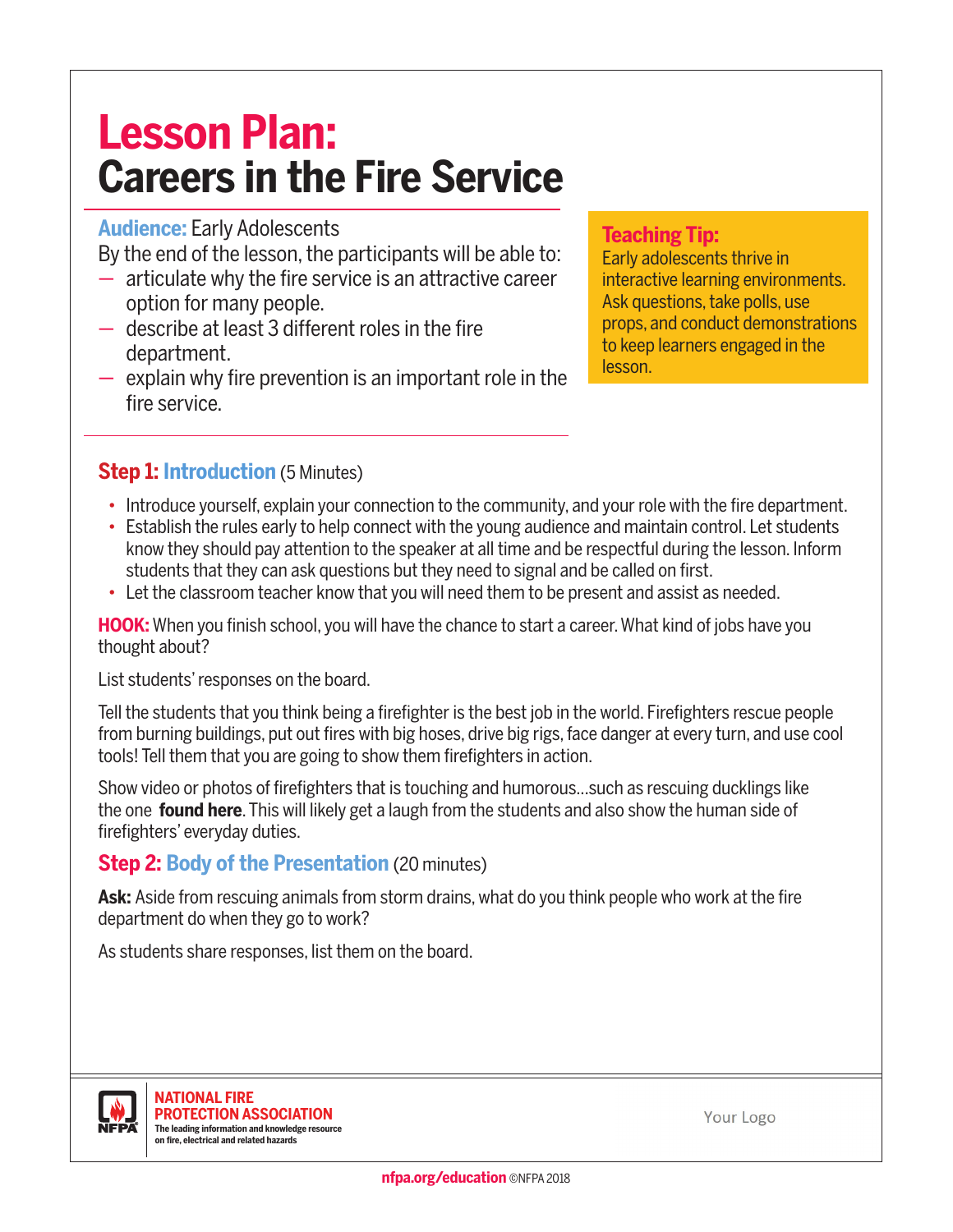# **Lesson Plan: Careers in the Fire Service**

#### **Audience:** Early Adolescents

By the end of the lesson, the participants will be able to:

- articulate why the fire service is an attractive career option for many people.
- describe at least 3 different roles in the fire department.
- explain why fire prevention is an important role in the fire service.

#### **Teaching Tip:**

Early adolescents thrive in interactive learning environments. Ask questions, take polls, use props, and conduct demonstrations to keep learners engaged in the lesson.

# **Step 1: Introduction** (5 Minutes)

- Introduce yourself, explain your connection to the community, and your role with the fire department.
- Establish the rules early to help connect with the young audience and maintain control. Let students know they should pay attention to the speaker at all time and be respectful during the lesson. Inform students that they can ask questions but they need to signal and be called on first.
- Let the classroom teacher know that you will need them to be present and assist as needed.

**HOOK:** When you finish school, you will have the chance to start a career. What kind of jobs have you thought about?

List students' responses on the board.

Tell the students that you think being a firefighter is the best job in the world. Firefighters rescue people from burning buildings, put out fires with big hoses, drive big rigs, face danger at every turn, and use cool tools! Tell them that you are going to show them firefighters in action.

Show video or photos of firefighters that is touching and humorous...such as rescuing ducklings like the one **[found here](https://www.youtube.com/watch?v=MlX0eCC81hs)**. This will likely get a laugh from the students and also show the human side of firefighters' everyday duties.

## **Step 2: Body of the Presentation** (20 minutes)

Ask: Aside from rescuing animals from storm drains, what do you think people who work at the fire department do when they go to work?

As students share responses, list them on the board.



Your Logo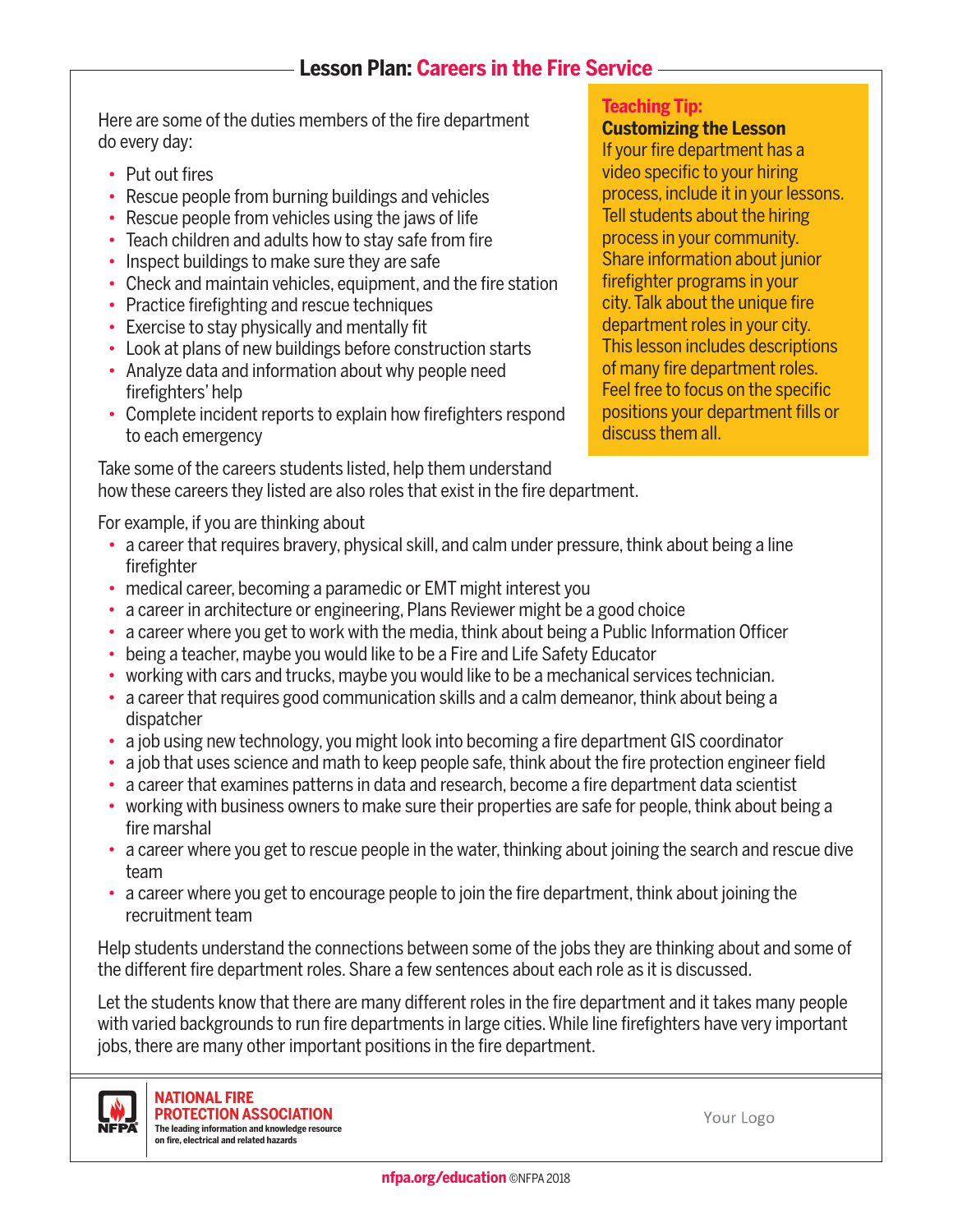## **Lesson Plan: Careers in the Fire Service**

Here are some of the duties members of the fire department do every day:

- Put out fires
- Rescue people from burning buildings and vehicles
- Rescue people from vehicles using the jaws of life
- Teach children and adults how to stay safe from fire
- Inspect buildings to make sure they are safe
- Check and maintain vehicles, equipment, and the fire station
- Practice firefighting and rescue techniques
- Exercise to stay physically and mentally fit
- Look at plans of new buildings before construction starts
- Analyze data and information about why people need firefighters' help
- Complete incident reports to explain how firefighters respond to each emergency

#### **Teaching Tip:**

#### **Customizing the Lesson**

If your fire department has a video specific to your hiring process, include it in your lessons. Tell students about the hiring process in your community. Share information about junior firefighter programs in your city. Talk about the unique fire department roles in your city. This lesson includes descriptions of many fire department roles. Feel free to focus on the specific positions your department fills or discuss them all.

Take some of the careers students listed, help them understand how these careers they listed are also roles that exist in the fire department.

For example, if you are thinking about

- a career that requires bravery, physical skill, and calm under pressure, think about being a line firefighter
- medical career, becoming a paramedic or EMT might interest you
- a career in architecture or engineering, Plans Reviewer might be a good choice
- a career where you get to work with the media, think about being a Public Information Officer
- being a teacher, maybe you would like to be a Fire and Life Safety Educator
- working with cars and trucks, maybe you would like to be a mechanical services technician.
- a career that requires good communication skills and a calm demeanor, think about being a dispatcher
- a job using new technology, you might look into becoming a fire department GIS coordinator
- a job that uses science and math to keep people safe, think about the fire protection engineer field
- a career that examines patterns in data and research, become a fire department data scientist
- working with business owners to make sure their properties are safe for people, think about being a fire marshal
- a career where you get to rescue people in the water, thinking about joining the search and rescue dive team
- a career where you get to encourage people to join the fire department, think about joining the recruitment team

Help students understand the connections between some of the jobs they are thinking about and some of the different fire department roles. Share a few sentences about each role as it is discussed.

Let the students know that there are many different roles in the fire department and it takes many people with varied backgrounds to run fire departments in large cities. While line firefighters have very important jobs, there are many other important positions in the fire department.



**NATIONAL FIRE PROTECTION ASSOCIATION The leading information and knowledge resource on fire, electrical and related hazards**

Your Logo